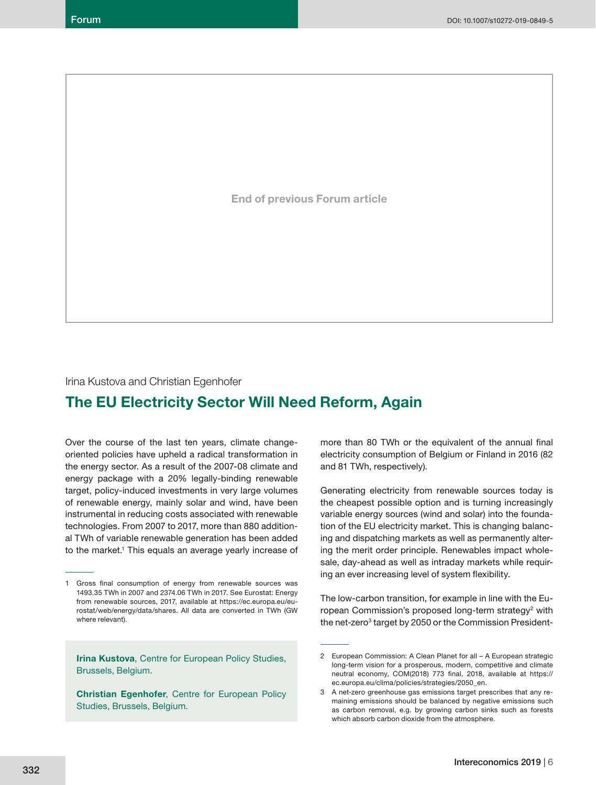**End of previous Forum article**

Irina Kustova and Christian Egenhofer

# **The EU Electricity Sector Will Need Reform, Again**

Over the course of the last ten years, climate changeoriented policies have upheld a radical transformation in the energy sector. As a result of the 2007-08 climate and energy package with a 20% legally-binding renewable target, policy-induced investments in very large volumes of renewable energy, mainly solar and wind, have been instrumental in reducing costs associated with renewable technologies. From 2007 to 2017, more than 880 additional TWh of variable renewable generation has been added to the market.<sup>1</sup> This equals an average yearly increase of

**Irina Kustova**, Centre for European Policy Studies, Brussels, Belgium.

**Christian Egenhofer**, Centre for European Policy Studies, Brussels, Belgium.

more than 80 TWh or the equivalent of the annual final electricity consumption of Belgium or Finland in 2016 (82 and 81 TWh, respectively).

Generating electricity from renewable sources today is the cheapest possible option and is turning increasingly variable energy sources (wind and solar) into the foundation of the EU electricity market. This is changing balancing and dispatching markets as well as permanently altering the merit order principle. Renewables impact wholesale, day-ahead as well as intraday markets while requiring an ever increasing level of system flexibility.

The low-carbon transition, for example in line with the European Commission's proposed long-term strategy<sup>2</sup> with the net-zero<sup>3</sup> target by 2050 or the Commission President-

<sup>1</sup> Gross final consumption of energy from renewable sources was 1493.35 TWh in 2007 and 2374.06 TWh in 2017. See Eurostat: Energy from renewable sources, 2017, available at https://ec.europa.eu/eurostat/web/energy/data/shares. All data are converted in TWh (GW where relevant).

<sup>2</sup> European Commission: A Clean Planet for all – A European strategic long-term vision for a prosperous, modern, competitive and climate neutral economy, COM(2018) 773 final, 2018, available at https:// ec.europa.eu/clima/policies/strategies/2050\_en.

<sup>3</sup> A net-zero greenhouse gas emissions target prescribes that any remaining emissions should be balanced by negative emissions such as carbon removal, e.g. by growing carbon sinks such as forests which absorb carbon dioxide from the atmosphere.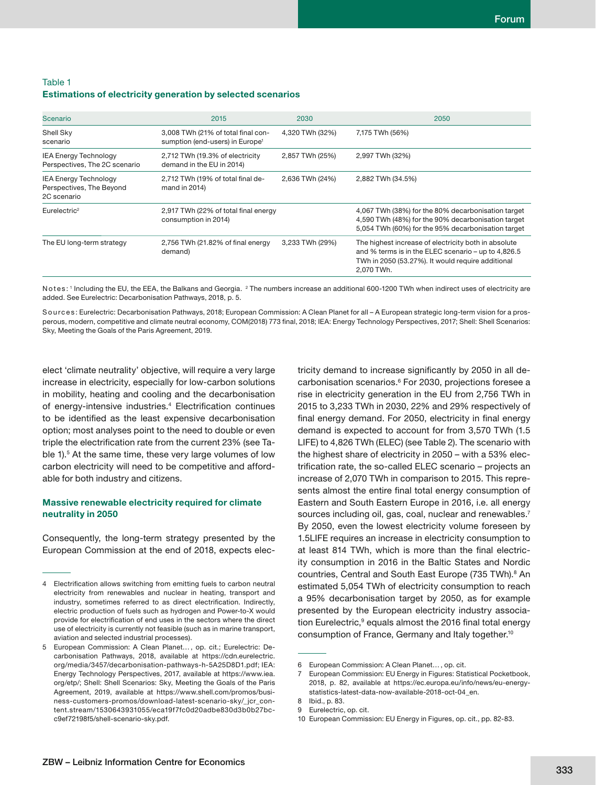# Table 1 **Estimations of electricity generation by selected scenarios**

| Scenario                                                                | 2015                                                                              | 2030            | 2050                                                                                                                                                                           |
|-------------------------------------------------------------------------|-----------------------------------------------------------------------------------|-----------------|--------------------------------------------------------------------------------------------------------------------------------------------------------------------------------|
| Shell Sky<br>scenario                                                   | 3,008 TWh (21% of total final con-<br>sumption (end-users) in Europe <sup>1</sup> | 4,320 TWh (32%) | 7,175 TWh (56%)                                                                                                                                                                |
| <b>IEA Energy Technology</b><br>Perspectives, The 2C scenario           | 2,712 TWh (19.3% of electricity<br>demand in the EU in 2014)                      | 2,857 TWh (25%) | 2,997 TWh (32%)                                                                                                                                                                |
| <b>IEA Energy Technology</b><br>Perspectives, The Beyond<br>2C scenario | 2,712 TWh (19% of total final de-<br>mand in 2014)                                | 2,636 TWh (24%) | 2,882 TWh (34.5%)                                                                                                                                                              |
| Eurelectric <sup>2</sup>                                                | 2,917 TWh (22% of total final energy<br>consumption in 2014)                      |                 | 4,067 TWh (38%) for the 80% decarbonisation target<br>4,590 TWh (48%) for the 90% decarbonisation target<br>5,054 TWh (60%) for the 95% decarbonisation target                 |
| The EU long-term strategy                                               | 2,756 TWh (21.82% of final energy<br>demand)                                      | 3,233 TWh (29%) | The highest increase of electricity both in absolute<br>and % terms is in the ELEC scenario - up to 4,826.5<br>TWh in 2050 (53.27%). It would require additional<br>2,070 TWh. |

<code>Notes:</code> ' Including the EU, the EEA, the Balkans and Georgia.  $\,{}^2$  The numbers increase an additional 600-1200 TWh when indirect uses of electricity are added. See Eurelectric: Decarbonisation Pathways, 2018, p. 5.

Sources: Eurelectric: Decarbonisation Pathways, 2018; European Commission: A Clean Planet for all - A European strategic long-term vision for a prosperous, modern, competitive and climate neutral economy, COM(2018) 773 final, 2018; IEA: Energy Technology Perspectives, 2017; Shell: Shell Scenarios: Sky, Meeting the Goals of the Paris Agreement, 2019.

elect 'climate neutrality' objective, will require a very large increase in electricity, especially for low-carbon solutions in mobility, heating and cooling and the decarbonisation of energy-intensive industries.<sup>4</sup> Electrification continues to be identified as the least expensive decarbonisation option; most analyses point to the need to double or even triple the electrification rate from the current 23% (see Table 1).<sup>5</sup> At the same time, these very large volumes of low carbon electricity will need to be competitive and affordable for both industry and citizens.

# **Massive renewable electricity required for climate neutrality in 2050**

Consequently, the long-term strategy presented by the European Commission at the end of 2018, expects electricity demand to increase significantly by 2050 in all decarbonisation scenarios.<sup>6</sup> For 2030, projections foresee a rise in electricity generation in the EU from 2,756 TWh in 2015 to 3,233 TWh in 2030, 22% and 29% respectively of final energy demand. For 2050, electricity in final energy demand is expected to account for from 3,570 TWh (1.5 LIFE) to 4,826 TWh (ELEC) (see Table 2). The scenario with the highest share of electricity in 2050 – with a 53% electrification rate, the so-called ELEC scenario - projects an increase of 2,070 TWh in comparison to 2015. This represents almost the entire final total energy consumption of Eastern and South Eastern Europe in 2016, i.e. all energy sources including oil, gas, coal, nuclear and renewables.<sup>7</sup> By 2050, even the lowest electricity volume foreseen by 1.5LIFE requires an increase in electricity consumption to at least 814 TWh, which is more than the final electricity consumption in 2016 in the Baltic States and Nordic countries, Central and South East Europe (735 TWh).<sup>8</sup> An estimated 5,054 TWh of electricity consumption to reach a 95% decarbonisation target by 2050, as for example presented by the European electricity industry association Eurelectric,<sup>9</sup> equals almost the 2016 final total energy consumption of France, Germany and Italy together.10

<sup>4</sup> Electrification allows switching from emitting fuels to carbon neutral electricity from renewables and nuclear in heating, transport and industry, sometimes referred to as direct electrification. Indirectly, electric production of fuels such as hydrogen and Power-to-X would provide for electrification of end uses in the sectors where the direct use of electricity is currently not feasible (such as in marine transport, aviation and selected industrial processes).

<sup>5</sup> European Commission: A Clean Planet… , op. cit.; Eurelectric: Decarbonisation Pathways, 2018, available at https://cdn.eurelectric. org/media/3457/decarbonisation-pathways-h-5A25D8D1.pdf; IEA: Energy Technology Perspectives, 2017, available at https://www.iea. org/etp/; Shell: Shell Scenarios: Sky, Meeting the Goals of the Paris Agreement, 2019, available at https://www.shell.com/promos/business-customers-promos/download-latest-scenario-sky/\_jcr\_content.stream/1530643931055/eca19f7fc0d20adbe830d3b0b27bcc9ef72198f5/shell-scenario-sky.pdf.

<sup>6</sup> European Commission: A Clean Planet… , op. cit.

European Commission: EU Energy in Figures: Statistical Pocketbook, 2018, p. 82, available at https://ec.europa.eu/info/news/eu-energystatistics-latest-data-now-available-2018-oct-04\_en.

<sup>8</sup> Ibid., p. 83.

<sup>9</sup> Eurelectric, op. cit.

<sup>10</sup> European Commission: EU Energy in Figures, op. cit., pp. 82-83.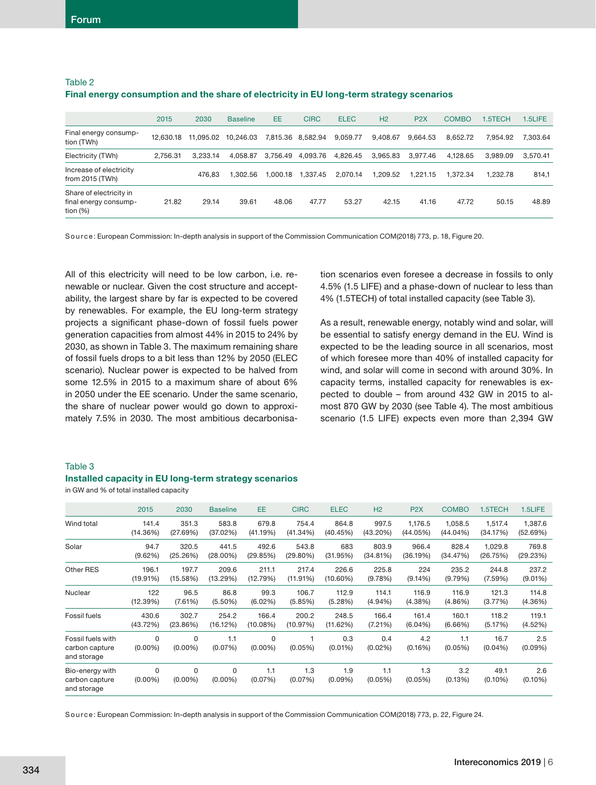Table 2

| .                                                               |           |           |                 |          |                   |             |                |                  |              |          |          |
|-----------------------------------------------------------------|-----------|-----------|-----------------|----------|-------------------|-------------|----------------|------------------|--------------|----------|----------|
|                                                                 | 2015      | 2030      | <b>Baseline</b> | EE       | <b>CIRC</b>       | <b>ELEC</b> | H <sub>2</sub> | P <sub>2</sub> X | <b>COMBO</b> | 1.5TECH  | 1.5LIFE  |
| Final energy consump-<br>tion (TWh)                             | 12.630.18 | 11.095.02 | 10.246.03       |          | 7,815.36 8,582.94 | 9,059.77    | 9.408.67       | 9.664.53         | 8.652.72     | 7.954.92 | 7.303.64 |
| Electricity (TWh)                                               | 2.756.31  | 3.233.14  | 4.058.87        | 3,756.49 | 4.093.76          | 4.826.45    | 3.965.83       | 3.977.46         | 4.128.65     | 3.989.09 | 3.570.41 |
| Increase of electricity<br>from 2015 (TWh)                      |           | 476.83    | 1.302.56        | 1.000.18 | 1.337.45          | 2.070.14    | 1.209.52       | 1.221.15         | 1.372.34     | 1.232.78 | 814,1    |
| Share of electricity in<br>final energy consump-<br>tion $(\%)$ | 21.82     | 29.14     | 39.61           | 48.06    | 47.77             | 53.27       | 42.15          | 41.16            | 47.72        | 50.15    | 48.89    |

# **Final energy consumption and the share of electricity in EU long-term strategy scenarios**

Source: European Commission: In-depth analysis in support of the Commission Communication COM(2018) 773, p. 18, Figure 20.

All of this electricity will need to be low carbon, i.e. renewable or nuclear. Given the cost structure and acceptability, the largest share by far is expected to be covered by renewables. For example, the EU long-term strategy projects a significant phase-down of fossil fuels power generation capacities from almost 44% in 2015 to 24% by 2030, as shown in Table 3. The maximum remaining share of fossil fuels drops to a bit less than 12% by 2050 (ELEC scenario). Nuclear power is expected to be halved from some 12.5% in 2015 to a maximum share of about 6% in 2050 under the EE scenario. Under the same scenario, the share of nuclear power would go down to approximately 7.5% in 2030. The most ambitious decarbonisation scenarios even foresee a decrease in fossils to only 4.5% (1.5 LIFE) and a phase-down of nuclear to less than 4% (1.5TECH) of total installed capacity (see Table 3).

As a result, renewable energy, notably wind and solar, will be essential to satisfy energy demand in the EU. Wind is expected to be the leading source in all scenarios, most of which foresee more than 40% of installed capacity for wind, and solar will come in second with around 30%. In capacity terms, installed capacity for renewables is expected to double – from around 432 GW in 2015 to almost 870 GW by 2030 (see Table 4). The most ambitious scenario (1.5 LIFE) expects even more than 2,394 GW

#### Table 3

#### **Installed capacity in EU long-term strategy scenarios**

in GW and % of total installed capacity

|                                                    | 2015            | 2030            | <b>Baseline</b> | <b>EE</b>       | <b>CIRC</b>    | <b>ELEC</b>       | H <sub>2</sub>    | P <sub>2</sub> X | <b>COMBO</b>   | 1.5TECH            | 1.5LIFE           |
|----------------------------------------------------|-----------------|-----------------|-----------------|-----------------|----------------|-------------------|-------------------|------------------|----------------|--------------------|-------------------|
| Wind total                                         | 141.4           | 351.3           | 583.8           | 679.8           | 754.4          | 864.8             | 997.5             | 1,176.5          | 1.058.5        | 1,517.4            | 1,387.6           |
|                                                    | (14.36%)        | (27.69%)        | (37.02%)        | (41.19%)        | (41.34%)       | (40.45%)          | (43.20%)          | (44.05%)         | (44.04%)       | (34.17%)           | (52.69%)          |
| Solar                                              | 94.7            | 320.5           | 441.5           | 492.6           | 543.8          | 683               | 803.9             | 966.4            | 828.4          | 1,029.8            | 769.8             |
|                                                    | (9.62%)         | (25.26%)        | $(28.00\%)$     | (29.85%)        | $(29.80\%)$    | (31.95%)          | (34.81%)          | (36.19%)         | (34.47%)       | (26.75%)           | (29.23%)          |
| Other RES                                          | 196.1           | 197.7           | 209.6           | 211.1           | 217.4          | 226.6             | 225.8             | 224              | 235.2          | 244.8              | 237.2             |
|                                                    | (19.91%)        | (15.58%)        | (13.29%)        | (12.79%)        | (11.91%)       | $(10.60\%)$       | (9.78%)           | (9.14%)          | (9.79%)        | (7.59%)            | $(9.01\%)$        |
| Nuclear                                            | 122             | 96.5            | 86.8            | 99.3            | 106.7          | 112.9             | 114.1             | 116.9            | 116.9          | 121.3              | 114.8             |
|                                                    | (12.39%)        | (7.61%)         | $(5.50\%)$      | (6.02%)         | (5.85%)        | (5.28%)           | $(4.94\%)$        | (4.38%)          | $(4.86\%)$     | (3.77%)            | (4.36%)           |
| Fossil fuels                                       | 430.6           | 302.7           | 254.2           | 166.4           | 200.2          | 248.5             | 166.4             | 161.4            | 160.1          | 118.2              | 119.1             |
|                                                    | (43.72%)        | (23.86%)        | (16.12%)        | (10.08%)        | (10.97%)       | (11.62%)          | (7.21%)           | (6.04%)          | (6.66%)        | (5.17%)            | (4.52%)           |
| Fossil fuels with<br>carbon capture<br>and storage | 0<br>$(0.00\%)$ | 0<br>$(0.00\%)$ | 1.1<br>(0.07%)  | 0<br>$(0.00\%)$ | (0.05%)        | 0.3<br>$(0.01\%)$ | 0.4<br>$(0.02\%)$ | 4.2<br>(0.16%)   | 1.1<br>(0.05%) | 16.7<br>$(0.04\%)$ | 2.5<br>$(0.09\%)$ |
| Bio-energy with<br>carbon capture<br>and storage   | 0<br>$(0.00\%)$ | 0<br>$(0.00\%)$ | 0<br>$(0.00\%)$ | 1.1<br>(0.07%)  | 1.3<br>(0.07%) | 1.9<br>$(0.09\%)$ | 1.1<br>$(0.05\%)$ | 1.3<br>(0.05%)   | 3.2<br>(0.13%) | 49.1<br>$(0.10\%)$ | 2.6<br>$(0.10\%)$ |

Source: European Commission: In-depth analysis in support of the Commission Communication COM(2018) 773, p. 22, Figure 24.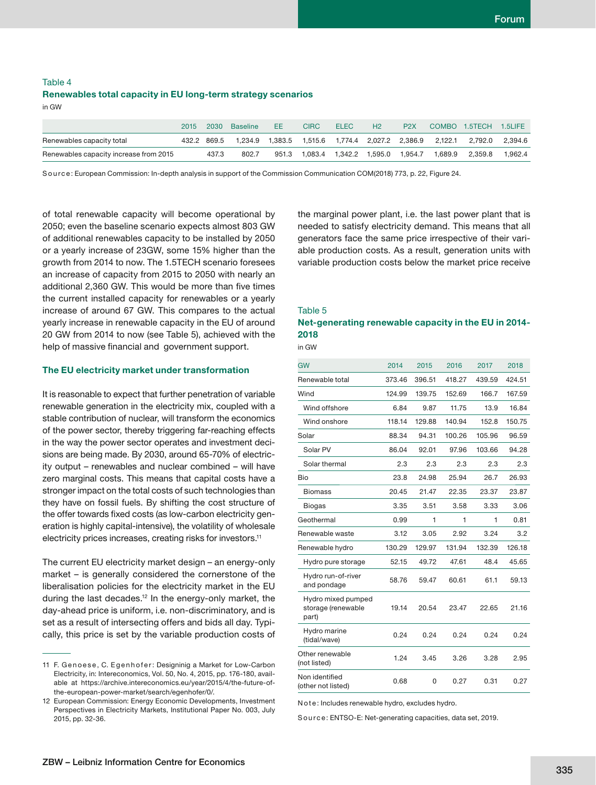## Table 4 **Renewables total capacity in EU long-term strategy scenarios** in GW

|                                        | 2015 | 2030        | Baseline                                                                        | EE.   | <b>CIRC</b> | <b>ELEC</b> | H2 | P <sub>2</sub> X |         | COMBO 1.5TECH 1.5LIFE |            |
|----------------------------------------|------|-------------|---------------------------------------------------------------------------------|-------|-------------|-------------|----|------------------|---------|-----------------------|------------|
| Renewables capacity total              |      | 432.2 869.5 | 1,234.9  1,383.5  1,515.6  1,774.4  2,027.2  2,386.9  2,122.1  2,792.0  2,394.6 |       |             |             |    |                  |         |                       |            |
| Renewables capacity increase from 2015 |      | 437.3       | 802.7                                                                           | 951.3 |             |             |    |                  | 1.689.9 | 2.359.8               | $-1,962.4$ |

Source: European Commission: In-depth analysis in support of the Commission Communication COM(2018) 773, p. 22, Figure 24.

of total renewable capacity will become operational by 2050; even the baseline scenario expects almost 803 GW of additional renewables capacity to be installed by 2050 or a yearly increase of 23GW, some 15% higher than the growth from 2014 to now. The 1.5TECH scenario foresees an increase of capacity from 2015 to 2050 with nearly an additional 2,360 GW. This would be more than five times the current installed capacity for renewables or a yearly increase of around 67 GW. This compares to the actual yearly increase in renewable capacity in the EU of around 20 GW from 2014 to now (see Table 5), achieved with the help of massive financial and government support.

#### **The EU electricity market under transformation**

It is reasonable to expect that further penetration of variable renewable generation in the electricity mix, coupled with a stable contribution of nuclear, will transform the economics of the power sector, thereby triggering far-reaching effects in the way the power sector operates and investment decisions are being made. By 2030, around 65-70% of electricity output – renewables and nuclear combined – will have zero marginal costs. This means that capital costs have a stronger impact on the total costs of such technologies than they have on fossil fuels. By shifting the cost structure of the offer towards fixed costs (as low-carbon electricity generation is highly capital-intensive), the volatility of wholesale electricity prices increases, creating risks for investors.11

The current EU electricity market design – an energy-only market – is generally considered the cornerstone of the liberalisation policies for the electricity market in the EU during the last decades.<sup>12</sup> In the energy-only market, the day-ahead price is uniform, i.e. non-discriminatory, and is set as a result of intersecting offers and bids all day. Typically, this price is set by the variable production costs of the marginal power plant, i.e. the last power plant that is needed to satisfy electricity demand. This means that all generators face the same price irrespective of their variable production costs. As a result, generation units with variable production costs below the market price receive

## Table 5 **Net-generating renewable capacity in the EU in 2014- 2018**

in GW

| <b>GW</b>                                         | 2014   | 2015   | 2016   | 2017   | 2018   |
|---------------------------------------------------|--------|--------|--------|--------|--------|
| Renewable total                                   | 373.46 | 396.51 | 418.27 | 439.59 | 424.51 |
| Wind                                              | 124.99 | 139.75 | 152.69 | 166.7  | 167.59 |
| Wind offshore                                     | 6.84   | 9.87   | 11.75  | 13.9   | 16.84  |
| Wind onshore                                      | 118.14 | 129.88 | 140.94 | 152.8  | 150.75 |
| Solar                                             | 88.34  | 94.31  | 100.26 | 105.96 | 96.59  |
| Solar PV                                          | 86.04  | 92.01  | 97.96  | 103.66 | 94.28  |
| Solar thermal                                     | 2.3    | 2.3    | 2.3    | 2.3    | 2.3    |
| Bio                                               | 23.8   | 24.98  | 25.94  | 26.7   | 26.93  |
| <b>Biomass</b>                                    | 20.45  | 21.47  | 22.35  | 23.37  | 23.87  |
| <b>Biogas</b>                                     | 3.35   | 3.51   | 3.58   | 3.33   | 3.06   |
| Geothermal                                        | 0.99   | 1      | 1      | 1      | 0.81   |
| Renewable waste                                   | 3.12   | 3.05   | 2.92   | 3.24   | 3.2    |
| Renewable hydro                                   | 130.29 | 129.97 | 131.94 | 132.39 | 126.18 |
| Hydro pure storage                                | 52.15  | 49.72  | 47.61  | 48.4   | 45.65  |
| Hydro run-of-river<br>and pondage                 | 58.76  | 59.47  | 60.61  | 61.1   | 59.13  |
| Hydro mixed pumped<br>storage (renewable<br>part) | 19.14  | 20.54  | 23.47  | 22.65  | 21.16  |
| Hydro marine<br>(tidal/wave)                      | 0.24   | 0.24   | 0.24   | 0.24   | 0.24   |
| Other renewable<br>(not listed)                   | 1.24   | 3.45   | 3.26   | 3.28   | 2.95   |
| Non identified<br>(other not listed)              | 0.68   | 0      | 0.27   | 0.31   | 0.27   |

Note: Includes renewable hydro, excludes hydro.

Source: ENTSO-E: Net-generating capacities, data set, 2019.

<sup>11</sup> F. Genoese, C. Eqenhofer: Designinig a Market for Low-Carbon Electricity, in: Intereconomics, Vol. 50, No. 4, 2015, pp. 176-180, available at https://archive.intereconomics.eu/year/2015/4/the-future-ofthe-european-power-market/search/egenhofer/0/.

<sup>12</sup> European Commission: Energy Economic Developments, Investment Perspectives in Electricity Markets, Institutional Paper No. 003, July 2015, pp. 32-36.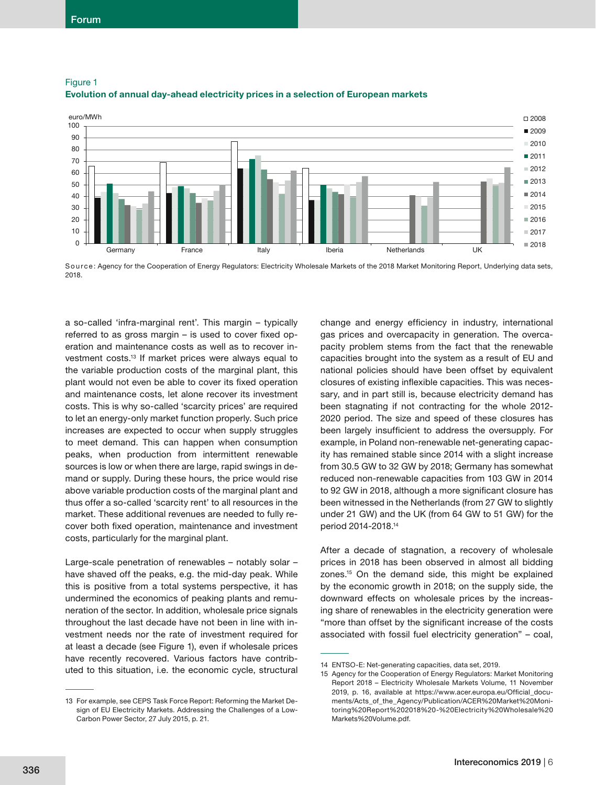



Source: Agency for the Cooperation of Energy Regulators: Electricity Wholesale Markets of the 2018 Market Monitoring Report, Underlying data sets, 2018.

a so-called 'infra-marginal rent'. This margin – typically referred to as gross margin  $-$  is used to cover fixed operation and maintenance costs as well as to recover investment costs.13 If market prices were always equal to the variable production costs of the marginal plant, this plant would not even be able to cover its fixed operation and maintenance costs, let alone recover its investment costs. This is why so-called 'scarcity prices' are required to let an energy-only market function properly. Such price increases are expected to occur when supply struggles to meet demand. This can happen when consumption peaks, when production from intermittent renewable sources is low or when there are large, rapid swings in demand or supply. During these hours, the price would rise above variable production costs of the marginal plant and thus offer a so-called 'scarcity rent' to all resources in the market. These additional revenues are needed to fully recover both fixed operation, maintenance and investment costs, particularly for the marginal plant.

Large-scale penetration of renewables – notably solar – have shaved off the peaks, e.g. the mid-day peak. While this is positive from a total systems perspective, it has undermined the economics of peaking plants and remuneration of the sector. In addition, wholesale price signals throughout the last decade have not been in line with investment needs nor the rate of investment required for at least a decade (see Figure 1), even if wholesale prices have recently recovered. Various factors have contributed to this situation, i.e. the economic cycle, structural change and energy efficiency in industry, international gas prices and overcapacity in generation. The overcapacity problem stems from the fact that the renewable capacities brought into the system as a result of EU and national policies should have been offset by equivalent closures of existing inflexible capacities. This was necessary, and in part still is, because electricity demand has been stagnating if not contracting for the whole 2012- 2020 period. The size and speed of these closures has been largely insufficient to address the oversupply. For example, in Poland non-renewable net-generating capacity has remained stable since 2014 with a slight increase from 30.5 GW to 32 GW by 2018; Germany has somewhat reduced non-renewable capacities from 103 GW in 2014 to 92 GW in 2018, although a more significant closure has been witnessed in the Netherlands (from 27 GW to slightly under 21 GW) and the UK (from 64 GW to 51 GW) for the period 2014-2018.14

After a decade of stagnation, a recovery of wholesale prices in 2018 has been observed in almost all bidding zones.15 On the demand side, this might be explained by the economic growth in 2018; on the supply side, the downward effects on wholesale prices by the increasing share of renewables in the electricity generation were "more than offset by the significant increase of the costs associated with fossil fuel electricity generation" – coal,

<sup>13</sup> For example, see CEPS Task Force Report: Reforming the Market Design of EU Electricity Markets. Addressing the Challenges of a Low-Carbon Power Sector, 27 July 2015, p. 21.

<sup>14</sup> ENTSO-E: Net-generating capacities, data set, 2019.

<sup>15</sup> Agency for the Cooperation of Energy Regulators: Market Monitoring Report 2018 – Electricity Wholesale Markets Volume, 11 November 2019, p. 16, available at https://www.acer.europa.eu/Official documents/Acts\_of\_the\_Agency/Publication/ACER%20Market%20Monitoring%20Report%202018%20-%20Electricity%20Wholesale%20 Markets%20Volume.pdf.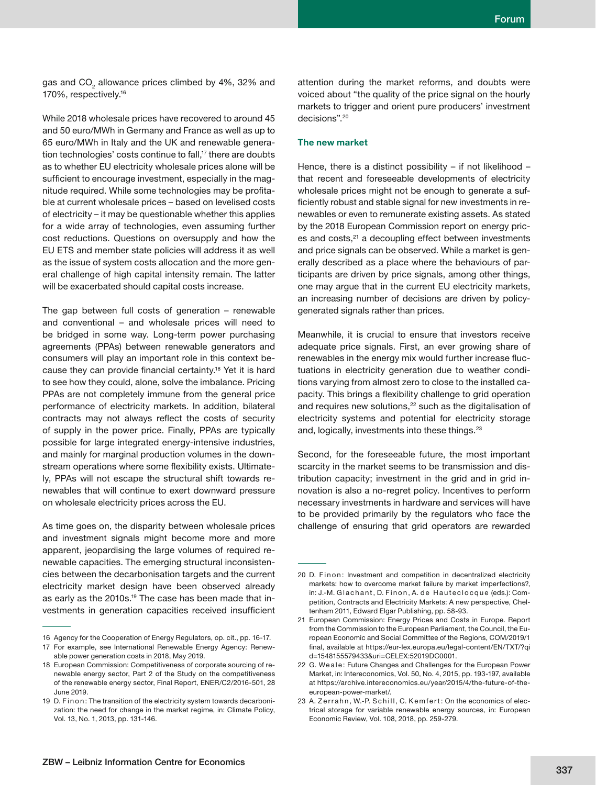gas and CO $_{\tiny 2}$  allowance prices climbed by 4%, 32% and 170%, respectively.16

While 2018 wholesale prices have recovered to around 45 and 50 euro/MWh in Germany and France as well as up to 65 euro/MWh in Italy and the UK and renewable generation technologies' costs continue to fall,<sup>17</sup> there are doubts as to whether EU electricity wholesale prices alone will be sufficient to encourage investment, especially in the magnitude required. While some technologies may be profitable at current wholesale prices – based on levelised costs of electricity – it may be questionable whether this applies for a wide array of technologies, even assuming further cost reductions. Questions on oversupply and how the EU ETS and member state policies will address it as well as the issue of system costs allocation and the more general challenge of high capital intensity remain. The latter will be exacerbated should capital costs increase.

The gap between full costs of generation – renewable and conventional – and wholesale prices will need to be bridged in some way. Long-term power purchasing agreements (PPAs) between renewable generators and consumers will play an important role in this context because they can provide financial certainty.<sup>18</sup> Yet it is hard to see how they could, alone, solve the imbalance. Pricing PPAs are not completely immune from the general price performance of electricity markets. In addition, bilateral contracts may not always reflect the costs of security of supply in the power price. Finally, PPAs are typically possible for large integrated energy-intensive industries, and mainly for marginal production volumes in the downstream operations where some flexibility exists. Ultimately, PPAs will not escape the structural shift towards renewables that will continue to exert downward pressure on wholesale electricity prices across the EU.

As time goes on, the disparity between wholesale prices and investment signals might become more and more apparent, jeopardising the large volumes of required renewable capacities. The emerging structural inconsistencies between the decarbonisation targets and the current electricity market design have been observed already as early as the 2010s.<sup>19</sup> The case has been made that investments in generation capacities received insufficient

attention during the market reforms, and doubts were voiced about "the quality of the price signal on the hourly markets to trigger and orient pure producers' investment decisions".20

## **The new market**

Hence, there is a distinct possibility – if not likelihood – that recent and foreseeable developments of electricity wholesale prices might not be enough to generate a sufficiently robust and stable signal for new investments in renewables or even to remunerate existing assets. As stated by the 2018 European Commission report on energy prices and costs,<sup>21</sup> a decoupling effect between investments and price signals can be observed. While a market is generally described as a place where the behaviours of participants are driven by price signals, among other things, one may argue that in the current EU electricity markets, an increasing number of decisions are driven by policygenerated signals rather than prices.

Meanwhile, it is crucial to ensure that investors receive adequate price signals. First, an ever growing share of renewables in the energy mix would further increase fluctuations in electricity generation due to weather conditions varying from almost zero to close to the installed capacity. This brings a flexibility challenge to grid operation and requires new solutions,<sup>22</sup> such as the digitalisation of electricity systems and potential for electricity storage and, logically, investments into these things.<sup>23</sup>

Second, for the foreseeable future, the most important scarcity in the market seems to be transmission and distribution capacity; investment in the grid and in grid innovation is also a no-regret policy. Incentives to perform necessary investments in hardware and services will have to be provided primarily by the regulators who face the challenge of ensuring that grid operators are rewarded

<sup>16</sup> Agency for the Cooperation of Energy Regulators, op. cit., pp. 16-17. 17 For example, see International Renewable Energy Agency: Renew-

able power generation costs in 2018, May 2019.

<sup>18</sup> European Commission: Competitiveness of corporate sourcing of renewable energy sector, Part 2 of the Study on the competitiveness of the renewable energy sector, Final Report, ENER/C2/2016-501, 28 June 2019.

<sup>19</sup> D. Finon: The transition of the electricity system towards decarbonization: the need for change in the market regime, in: Climate Policy, Vol. 13, No. 1, 2013, pp. 131-146.

<sup>20</sup> D. Finon: Investment and competition in decentralized electricity markets: how to overcome market failure by market imperfections?, in: J.-M. Glachant, D. Finon, A. de Hauteclocque (eds.): Competition, Contracts and Electricity Markets: A new perspective, Cheltenham 2011, Edward Elgar Publishing, pp. 58-93.

<sup>21</sup> European Commission: Energy Prices and Costs in Europe. Report from the Commission to the European Parliament, the Council, the European Economic and Social Committee of the Regions, COM/2019/1 final, available at https://eur-lex.europa.eu/legal-content/EN/TXT/?gi d=1548155579433&uri=CELEX:52019DC0001.

<sup>22</sup> G. We ale: Future Changes and Challenges for the European Power Market, in: Intereconomics, Vol. 50, No. 4, 2015, pp. 193-197, available at https://archive.intereconomics.eu/year/2015/4/the-future-of-theeuropean-power-market/.

<sup>23</sup> A. Zerrahn, W.-P. Schill, C. Kemfert: On the economics of electrical storage for variable renewable energy sources, in: European Economic Review, Vol. 108, 2018, pp. 259-279.